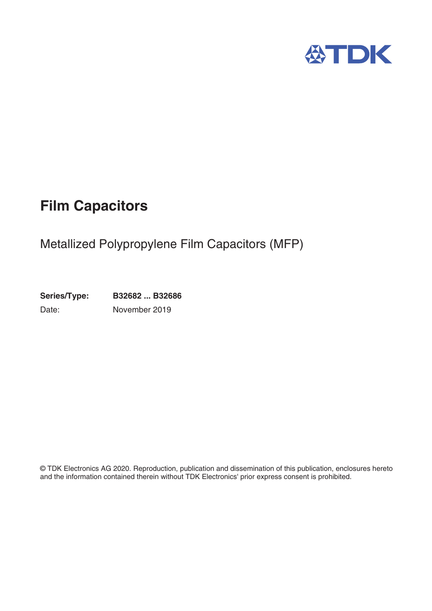

# **Film Capacitors**

# Metallized Polypropylene Film Capacitors (MFP)

**Series/Type: B32682 ... B32686** Date: November 2019

© TDK Electronics AG 2020. Reproduction, publication and dissemination of this publication, enclosures hereto and the information contained therein without TDK Electronics' prior express consent is prohibited.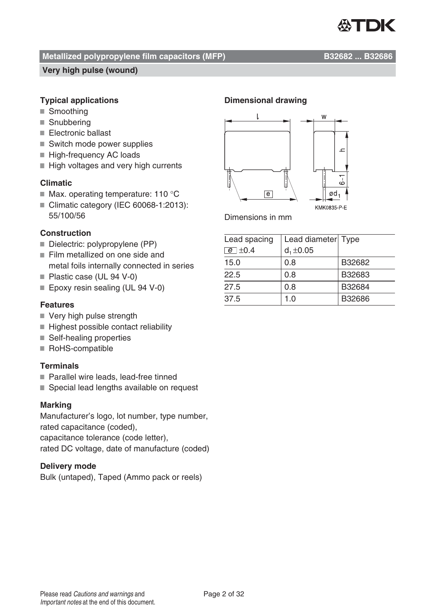

#### Metallized polypropylene film capacitors (MFP) B32682 ... B32686

#### **Very high pulse (wound)**

#### **Typical applications**

- Smoothing
- Snubbering
- Electronic ballast
- Switch mode power supplies
- High-frequency AC loads
- $\blacksquare$  High voltages and very high currents

#### **Climatic**

- $\blacksquare$  Max. operating temperature: 110 °C
- Climatic category (IEC 60068-1:2013): 55/100/56

#### **Construction**

- Dielectric: polypropylene (PP)
- Film metallized on one side and metal foils internally connected in series
- Plastic case (UL 94 V-0)
- Epoxy resin sealing (UL 94 V-0)

#### **Features**

- Very high pulse strength
- Highest possible contact reliability
- Self-healing properties
- RoHS-compatible

#### **Terminals**

- Parallel wire leads, lead-free tinned
- Special lead lengths available on request

#### **Marking**

Manufacturer's logo, lot number, type number, rated capacitance (coded), capacitance tolerance (code letter),

rated DC voltage, date of manufacture (coded)

#### **Delivery mode**

Bulk (untaped), Taped (Ammo pack or reels)

#### **Dimensional drawing**



Dimensions in mm

| Lead spacing  | Lead diameter Type |        |
|---------------|--------------------|--------|
| $e$ $\pm$ 0.4 | $d_1 \pm 0.05$     |        |
| 15.0          | 0.8                | B32682 |
| 22.5          | 0.8                | B32683 |
| 27.5          | 0.8                | B32684 |
| 37.5          | 1.0                | B32686 |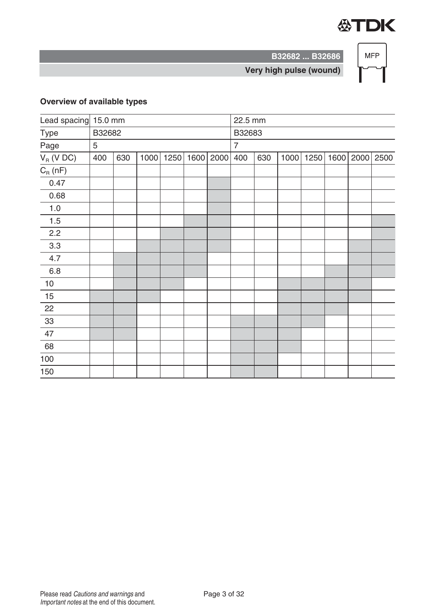

**MFP** 

**Very high pulse (wound)**

**B32682 ... B32686**

# **Overview of available types**

| Lead spacing 15.0 mm |            |     |      |      |      |      | 22.5 mm        |     |      |      |      |  |           |
|----------------------|------------|-----|------|------|------|------|----------------|-----|------|------|------|--|-----------|
| Type                 | B32682     |     |      |      |      |      | B32683         |     |      |      |      |  |           |
| Page                 | $\sqrt{5}$ |     |      |      |      |      | $\overline{7}$ |     |      |      |      |  |           |
| $V_R$ (V DC)         | 400        | 630 | 1000 | 1250 | 1600 | 2000 | 400            | 630 | 1000 | 1250 | 1600 |  | 2000 2500 |
| $C_R(nF)$            |            |     |      |      |      |      |                |     |      |      |      |  |           |
| 0.47                 |            |     |      |      |      |      |                |     |      |      |      |  |           |
| 0.68                 |            |     |      |      |      |      |                |     |      |      |      |  |           |
| 1.0                  |            |     |      |      |      |      |                |     |      |      |      |  |           |
| 1.5                  |            |     |      |      |      |      |                |     |      |      |      |  |           |
| 2.2                  |            |     |      |      |      |      |                |     |      |      |      |  |           |
| 3.3                  |            |     |      |      |      |      |                |     |      |      |      |  |           |
| 4.7                  |            |     |      |      |      |      |                |     |      |      |      |  |           |
| $6.8\,$              |            |     |      |      |      |      |                |     |      |      |      |  |           |
| $10$                 |            |     |      |      |      |      |                |     |      |      |      |  |           |
| 15                   |            |     |      |      |      |      |                |     |      |      |      |  |           |
| 22                   |            |     |      |      |      |      |                |     |      |      |      |  |           |
| $33\,$               |            |     |      |      |      |      |                |     |      |      |      |  |           |
| 47                   |            |     |      |      |      |      |                |     |      |      |      |  |           |
| 68                   |            |     |      |      |      |      |                |     |      |      |      |  |           |
| 100                  |            |     |      |      |      |      |                |     |      |      |      |  |           |
| 150                  |            |     |      |      |      |      |                |     |      |      |      |  |           |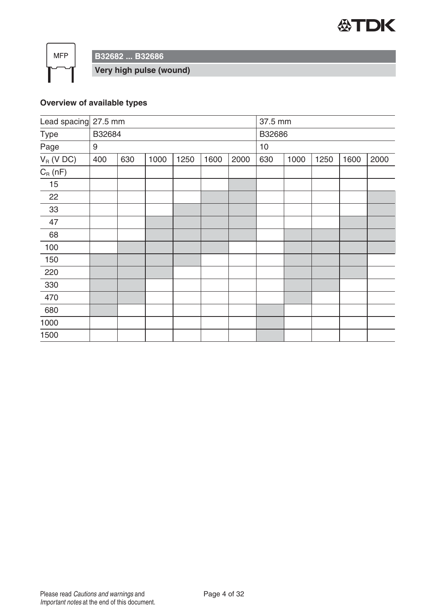

 $MFP$ 

**B32682 ... B32686**

**Very high pulse (wound)**

# **Overview of available types**

| Lead spacing 27.5 mm |        |     |      |      |      |      | 37.5 mm |      |      |      |      |
|----------------------|--------|-----|------|------|------|------|---------|------|------|------|------|
| Type                 | B32684 |     |      |      |      |      | B32686  |      |      |      |      |
| Page                 | 9      |     |      |      |      |      | 10      |      |      |      |      |
| $V_R$ (V DC)         | 400    | 630 | 1000 | 1250 | 1600 | 2000 | 630     | 1000 | 1250 | 1600 | 2000 |
| $C_R(nF)$            |        |     |      |      |      |      |         |      |      |      |      |
| 15                   |        |     |      |      |      |      |         |      |      |      |      |
| 22                   |        |     |      |      |      |      |         |      |      |      |      |
| 33                   |        |     |      |      |      |      |         |      |      |      |      |
| 47                   |        |     |      |      |      |      |         |      |      |      |      |
| 68                   |        |     |      |      |      |      |         |      |      |      |      |
| 100                  |        |     |      |      |      |      |         |      |      |      |      |
| 150                  |        |     |      |      |      |      |         |      |      |      |      |
| 220                  |        |     |      |      |      |      |         |      |      |      |      |
| 330                  |        |     |      |      |      |      |         |      |      |      |      |
| 470                  |        |     |      |      |      |      |         |      |      |      |      |
| 680                  |        |     |      |      |      |      |         |      |      |      |      |
| 1000                 |        |     |      |      |      |      |         |      |      |      |      |
| 1500                 |        |     |      |      |      |      |         |      |      |      |      |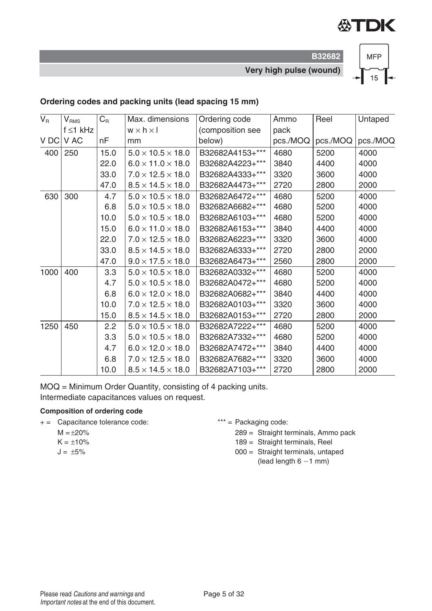

**B32682 Very high pulse (wound)**



### **Ordering codes and packing units (lead spacing 15 mm)**

| $V_R$ | $V_{\rm RMS}$  | $C_R$ | Max. dimensions               | Ordering code    | Ammo     | Reel     | Untaped  |
|-------|----------------|-------|-------------------------------|------------------|----------|----------|----------|
|       | $f \leq 1$ kHz |       | $w \times h \times I$         | (composition see | pack     |          |          |
| V DC  | V AC           | nF    | mm                            | below)           | pcs./MOQ | pcs./MOQ | pcs./MOQ |
| 400   | 250            | 15.0  | $5.0 \times 10.5 \times 18.0$ | B32682A4153+***  | 4680     | 5200     | 4000     |
|       |                | 22.0  | $6.0 \times 11.0 \times 18.0$ | B32682A4223+***  | 3840     | 4400     | 4000     |
|       |                | 33.0  | $7.0 \times 12.5 \times 18.0$ | B32682A4333+***  | 3320     | 3600     | 4000     |
|       |                | 47.0  | $8.5 \times 14.5 \times 18.0$ | B32682A4473+***  | 2720     | 2800     | 2000     |
| 630   | 300            | 4.7   | $5.0 \times 10.5 \times 18.0$ | B32682A6472+***  | 4680     | 5200     | 4000     |
|       |                | 6.8   | $5.0 \times 10.5 \times 18.0$ | B32682A6682+***  | 4680     | 5200     | 4000     |
|       |                | 10.0  | $5.0 \times 10.5 \times 18.0$ | B32682A6103+***  | 4680     | 5200     | 4000     |
|       |                | 15.0  | $6.0 \times 11.0 \times 18.0$ | B32682A6153+***  | 3840     | 4400     | 4000     |
|       |                | 22.0  | $7.0 \times 12.5 \times 18.0$ | B32682A6223+***  | 3320     | 3600     | 4000     |
|       |                | 33.0  | $8.5 \times 14.5 \times 18.0$ | B32682A6333+***  | 2720     | 2800     | 2000     |
|       |                | 47.0  | $9.0 \times 17.5 \times 18.0$ | B32682A6473+***  | 2560     | 2800     | 2000     |
| 1000  | 400            | 3.3   | $5.0 \times 10.5 \times 18.0$ | B32682A0332+***  | 4680     | 5200     | 4000     |
|       |                | 4.7   | $5.0 \times 10.5 \times 18.0$ | B32682A0472+***  | 4680     | 5200     | 4000     |
|       |                | 6.8   | $6.0 \times 12.0 \times 18.0$ | B32682A0682+***  | 3840     | 4400     | 4000     |
|       |                | 10.0  | $7.0 \times 12.5 \times 18.0$ | B32682A0103+***  | 3320     | 3600     | 4000     |
|       |                | 15.0  | $8.5 \times 14.5 \times 18.0$ | B32682A0153+***  | 2720     | 2800     | 2000     |
| 1250  | 450            | 2.2   | $5.0 \times 10.5 \times 18.0$ | B32682A7222+***  | 4680     | 5200     | 4000     |
|       |                | 3.3   | $5.0 \times 10.5 \times 18.0$ | B32682A7332+***  | 4680     | 5200     | 4000     |
|       |                | 4.7   | $6.0 \times 12.0 \times 18.0$ | B32682A7472+***  | 3840     | 4400     | 4000     |
|       |                | 6.8   | $7.0 \times 12.5 \times 18.0$ | B32682A7682+***  | 3320     | 3600     | 4000     |
|       |                | 10.0  | $8.5 \times 14.5 \times 18.0$ | B32682A7103+***  | 2720     | 2800     | 2000     |

MOQ = Minimum Order Quantity, consisting of 4 packing units.

Intermediate capacitances values on request.

#### **Composition of ordering code**

+ = Capacitance tolerance code: \*\*\* = Packaging code:

- $M = \pm 20\%$
- $K = +10%$
- $J = \pm 5\%$

289 = Straight terminals, Ammo pack

189 = Straight terminals, Reel

- 000 = Straight terminals, untaped
	- (lead length  $6 1$  mm)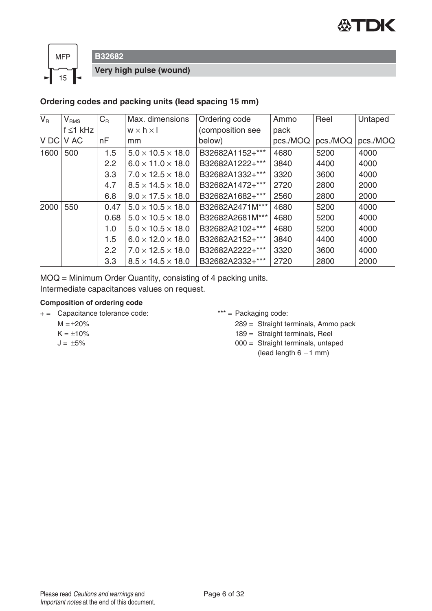



**B32682**

**Very high pulse (wound)**

#### **Ordering codes and packing units (lead spacing 15 mm)**

| $V_{R}$ | $V_{\rm RMS}$  | $C_{R}$ | Max. dimensions               | Ordering code    | Ammo     | Reel     | Untaped  |
|---------|----------------|---------|-------------------------------|------------------|----------|----------|----------|
|         | $f \leq 1$ kHz |         | $w \times h \times I$         | (composition see | pack     |          |          |
| V DC    | V AC           | nF      | mm                            | below)           | pcs./MOQ | pcs./MOQ | pcs./MOQ |
| 1600    | 500            | 1.5     | $5.0 \times 10.5 \times 18.0$ | B32682A1152+***  | 4680     | 5200     | 4000     |
|         |                | 2.2     | $6.0 \times 11.0 \times 18.0$ | B32682A1222+***  | 3840     | 4400     | 4000     |
|         |                | 3.3     | $7.0 \times 12.5 \times 18.0$ | B32682A1332+***  | 3320     | 3600     | 4000     |
|         |                | 4.7     | $8.5 \times 14.5 \times 18.0$ | B32682A1472+***  | 2720     | 2800     | 2000     |
|         |                | 6.8     | $9.0 \times 17.5 \times 18.0$ | B32682A1682+***  | 2560     | 2800     | 2000     |
| 2000    | 550            | 0.47    | $5.0 \times 10.5 \times 18.0$ | B32682A2471M***  | 4680     | 5200     | 4000     |
|         |                | 0.68    | $5.0 \times 10.5 \times 18.0$ | B32682A2681M***  | 4680     | 5200     | 4000     |
|         |                | 1.0     | $5.0 \times 10.5 \times 18.0$ | B32682A2102+***  | 4680     | 5200     | 4000     |
|         |                | 1.5     | $6.0 \times 12.0 \times 18.0$ | B32682A2152+***  | 3840     | 4400     | 4000     |
|         |                | 2.2     | $7.0 \times 12.5 \times 18.0$ | B32682A2222+***  | 3320     | 3600     | 4000     |
|         |                | 3.3     | $8.5 \times 14.5 \times 18.0$ | B32682A2332+***  | 2720     | 2800     | 2000     |

MOQ = Minimum Order Quantity, consisting of 4 packing units. Intermediate capacitances values on request.

#### **Composition of ordering code**

- + = Capacitance tolerance code: \*\*\* = Packaging code:
	- $M = +20%$
	- $K = \pm 10\%$
	- $J = \pm 5\%$

289 = Straight terminals, Ammo pack

189 = Straight terminals, Reel

000 = Straight terminals, untaped (lead length  $6 - 1$  mm)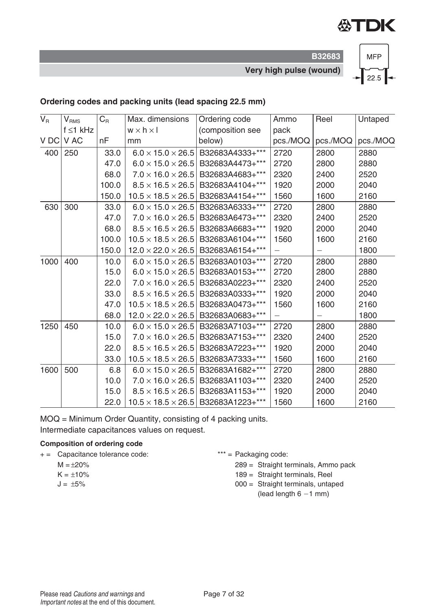

**B32683 Very high pulse (wound)**



### **Ordering codes and packing units (lead spacing 22.5 mm)**

| $V_R$ | $V_{\rm RMS}$  | $C_{\mathsf{R}}$ | Max. dimensions                | Ordering code                                  | Ammo                     | Reel     | Untaped  |
|-------|----------------|------------------|--------------------------------|------------------------------------------------|--------------------------|----------|----------|
|       | $f \leq 1$ kHz |                  | $w \times h \times I$          | (composition see                               | pack                     |          |          |
|       | V DC V AC      | nF               | mm                             | below)                                         | pcs./MOQ                 | pcs./MOQ | pcs./MOQ |
| 400   | 250            | 33.0             | $6.0 \times 15.0 \times 26.5$  | B32683A4333+***                                | 2720                     | 2800     | 2880     |
|       |                | 47.0             | $6.0 \times 15.0 \times 26.5$  | B32683A4473+***                                | 2720                     | 2800     | 2880     |
|       |                | 68.0             | $7.0 \times 16.0 \times 26.5$  | B32683A4683+***                                | 2320                     | 2400     | 2520     |
|       |                | 100.0            | $8.5 \times 16.5 \times 26.5$  | B32683A4104+***                                | 1920                     | 2000     | 2040     |
|       |                | 150.0            | $10.5 \times 18.5 \times 26.5$ | B32683A4154+***                                | 1560                     | 1600     | 2160     |
| 630   | 300            | 33.0             | $6.0 \times 15.0 \times 26.5$  | B32683A6333+***                                | 2720                     | 2800     | 2880     |
|       |                | 47.0             | $7.0 \times 16.0 \times 26.5$  | B32683A6473+***                                | 2320                     | 2400     | 2520     |
|       |                | 68.0             | $8.5 \times 16.5 \times 26.5$  | B32683A6683+***                                | 1920                     | 2000     | 2040     |
|       |                | 100.0            | $10.5 \times 18.5 \times 26.5$ | B32683A6104+***                                | 1560                     | 1600     | 2160     |
|       |                | 150.0            | $12.0 \times 22.0 \times 26.5$ | B32683A6154+***                                | $\overline{\phantom{0}}$ |          | 1800     |
| 1000  | 400            | 10.0             | $6.0 \times 15.0 \times 26.5$  | B32683A0103+***                                | 2720                     | 2800     | 2880     |
|       |                | 15.0             | $6.0 \times 15.0 \times 26.5$  | B32683A0153+***                                | 2720                     | 2800     | 2880     |
|       |                | 22.0             | $7.0 \times 16.0 \times 26.5$  | B32683A0223+***                                | 2320                     | 2400     | 2520     |
|       |                | 33.0             | $8.5 \times 16.5 \times 26.5$  | B32683A0333+***                                | 1920                     | 2000     | 2040     |
|       |                | 47.0             | $10.5 \times 18.5 \times 26.5$ | B32683A0473+***                                | 1560                     | 1600     | 2160     |
|       |                | 68.0             | $12.0 \times 22.0 \times 26.5$ | B32683A0683+***                                | $\overline{\phantom{0}}$ |          | 1800     |
| 1250  | 450            | 10.0             | $6.0 \times 15.0 \times 26.5$  | B32683A7103+***                                | 2720                     | 2800     | 2880     |
|       |                | 15.0             | $7.0 \times 16.0 \times 26.5$  | B32683A7153+***                                | 2320                     | 2400     | 2520     |
|       |                | 22.0             | $8.5 \times 16.5 \times 26.5$  | B32683A7223+***                                | 1920                     | 2000     | 2040     |
|       |                | 33.0             | $10.5 \times 18.5 \times 26.5$ | B32683A7333+***                                | 1560                     | 1600     | 2160     |
| 1600  | 500            | 6.8              | $6.0 \times 15.0 \times 26.5$  | B32683A1682+***                                | 2720                     | 2800     | 2880     |
|       |                | 10.0             | $7.0 \times 16.0 \times 26.5$  | B32683A1103+***                                | 2320                     | 2400     | 2520     |
|       |                | 15.0             | $8.5 \times 16.5 \times 26.5$  | B32683A1153+***                                | 1920                     | 2000     | 2040     |
|       |                | 22.0             |                                | $10.5 \times 18.5 \times 26.5$ B32683A1223+*** | 1560                     | 1600     | 2160     |

MOQ = Minimum Order Quantity, consisting of 4 packing units. Intermediate capacitances values on request.

#### **Composition of ordering code**

- + = Capacitance tolerance code: \*\*\* = Packaging code:
	- $M = \pm 20\%$
	- $K = \pm 10\%$
	- $J = \pm 5\%$

289 = Straight terminals, Ammo pack

- 189 = Straight terminals, Reel
- 000 = Straight terminals, untaped (lead length  $6 - 1$  mm)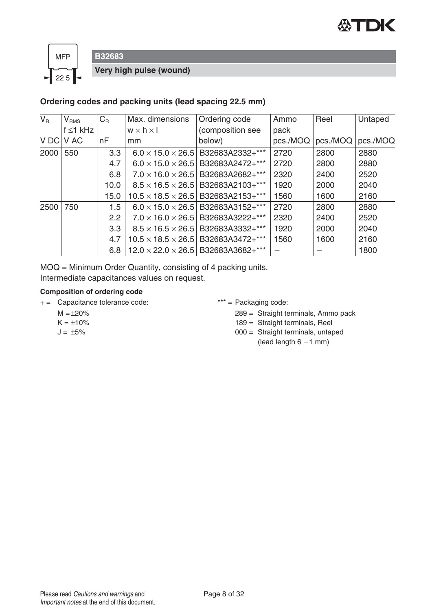



**B32683**

**Very high pulse (wound)**

#### **Ordering codes and packing units (lead spacing 22.5 mm)**

| $V_{\rm R}$ | $\bm{\mathsf{V}}_{\texttt{RMS}}$ | $C_{R}$          | Max. dimensions                | Ordering code                                  | Ammo     | Reel     | Untaped  |
|-------------|----------------------------------|------------------|--------------------------------|------------------------------------------------|----------|----------|----------|
|             | $f \leq 1$ kHz                   |                  | $w \times h \times I$          | (composition see                               | pack     |          |          |
| V DC        | V AC                             | nF               | mm.                            | below)                                         | pcs./MOQ | pcs./MOQ | pcs./MOQ |
| 2000        | 550                              | 3.3              | $6.0 \times 15.0 \times 26.5$  | B32683A2332+***                                | 2720     | 2800     | 2880     |
|             |                                  | 4.7              | $6.0 \times 15.0 \times 26.5$  | B32683A2472+***                                | 2720     | 2800     | 2880     |
|             |                                  | 6.8              | $7.0 \times 16.0 \times 26.5$  | B32683A2682+***                                | 2320     | 2400     | 2520     |
|             |                                  | 10.0             | $8.5 \times 16.5 \times 26.5$  | B32683A2103+***                                | 1920     | 2000     | 2040     |
|             |                                  | 15.0             | $10.5 \times 18.5 \times 26.5$ | B32683A2153+***                                | 1560     | 1600     | 2160     |
| 2500        | 750                              | 1.5              | $6.0 \times 15.0 \times 26.5$  | B32683A3152+***                                | 2720     | 2800     | 2880     |
|             |                                  | $2.2^{\circ}$    | $7.0 \times 16.0 \times 26.5$  | B32683A3222+***                                | 2320     | 2400     | 2520     |
|             |                                  | 3.3 <sub>2</sub> | $8.5 \times 16.5 \times 26.5$  | B32683A3332+***                                | 1920     | 2000     | 2040     |
|             |                                  | 4.7              | $10.5 \times 18.5 \times 26.5$ | B32683A3472+***                                | 1560     | 1600     | 2160     |
|             |                                  | 6.8              |                                | $12.0 \times 22.0 \times 26.5$ B32683A3682+*** |          |          | 1800     |

MOQ = Minimum Order Quantity, consisting of 4 packing units. Intermediate capacitances values on request.

#### **Composition of ordering code**

- + = Capacitance tolerance code: \*\*\* = Packaging code:
	- $M = \pm 20\%$
	- $K = \pm 10\%$
	- $J = \pm 5\%$

289 = Straight terminals, Ammo pack

189 = Straight terminals, Reel

000 = Straight terminals, untaped (lead length  $6 - 1$  mm)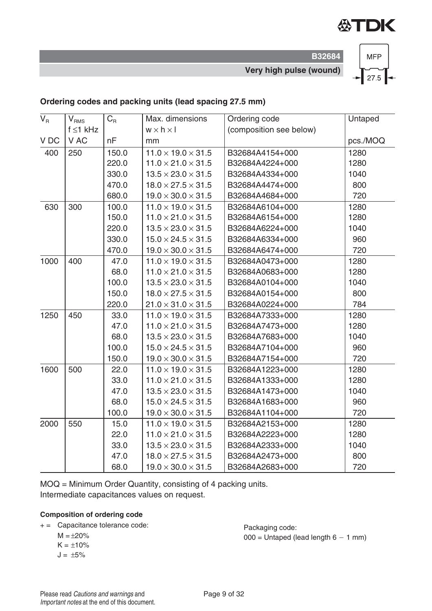

**B32684 Very high pulse (wound)**



### **Ordering codes and packing units (lead spacing 27.5 mm)**

| $\mathsf{V}_\mathsf{R}$ | V <sub>RMS</sub> | $C_R$ | Max. dimensions                | Ordering code           | Untaped  |
|-------------------------|------------------|-------|--------------------------------|-------------------------|----------|
|                         | $f \leq 1$ kHz   |       | $w \times h \times I$          | (composition see below) |          |
| V DC                    | V AC             | nF    | mm                             |                         | pcs./MOQ |
| 400                     | 250              | 150.0 | $11.0 \times 19.0 \times 31.5$ | B32684A4154+000         | 1280     |
|                         |                  | 220.0 | $11.0 \times 21.0 \times 31.5$ | B32684A4224+000         | 1280     |
|                         |                  | 330.0 | $13.5 \times 23.0 \times 31.5$ | B32684A4334+000         | 1040     |
|                         |                  | 470.0 | $18.0 \times 27.5 \times 31.5$ | B32684A4474+000         | 800      |
|                         |                  | 680.0 | $19.0 \times 30.0 \times 31.5$ | B32684A4684+000         | 720      |
| 630                     | 300              | 100.0 | $11.0 \times 19.0 \times 31.5$ | B32684A6104+000         | 1280     |
|                         |                  | 150.0 | $11.0 \times 21.0 \times 31.5$ | B32684A6154+000         | 1280     |
|                         |                  | 220.0 | $13.5 \times 23.0 \times 31.5$ | B32684A6224+000         | 1040     |
|                         |                  | 330.0 | $15.0 \times 24.5 \times 31.5$ | B32684A6334+000         | 960      |
|                         |                  | 470.0 | $19.0 \times 30.0 \times 31.5$ | B32684A6474+000         | 720      |
| 1000                    | 400              | 47.0  | $11.0 \times 19.0 \times 31.5$ | B32684A0473+000         | 1280     |
|                         |                  | 68.0  | $11.0 \times 21.0 \times 31.5$ | B32684A0683+000         | 1280     |
|                         |                  | 100.0 | $13.5 \times 23.0 \times 31.5$ | B32684A0104+000         | 1040     |
|                         |                  | 150.0 | $18.0 \times 27.5 \times 31.5$ | B32684A0154+000         | 800      |
|                         |                  | 220.0 | $21.0 \times 31.0 \times 31.5$ | B32684A0224+000         | 784      |
| 1250                    | 450              | 33.0  | $11.0 \times 19.0 \times 31.5$ | B32684A7333+000         | 1280     |
|                         |                  | 47.0  | $11.0 \times 21.0 \times 31.5$ | B32684A7473+000         | 1280     |
|                         |                  | 68.0  | $13.5 \times 23.0 \times 31.5$ | B32684A7683+000         | 1040     |
|                         |                  | 100.0 | $15.0 \times 24.5 \times 31.5$ | B32684A7104+000         | 960      |
|                         |                  | 150.0 | $19.0 \times 30.0 \times 31.5$ | B32684A7154+000         | 720      |
| 1600                    | 500              | 22.0  | $11.0 \times 19.0 \times 31.5$ | B32684A1223+000         | 1280     |
|                         |                  | 33.0  | $11.0 \times 21.0 \times 31.5$ | B32684A1333+000         | 1280     |
|                         |                  | 47.0  | $13.5 \times 23.0 \times 31.5$ | B32684A1473+000         | 1040     |
|                         |                  | 68.0  | $15.0 \times 24.5 \times 31.5$ | B32684A1683+000         | 960      |
|                         |                  | 100.0 | $19.0 \times 30.0 \times 31.5$ | B32684A1104+000         | 720      |
| 2000                    | 550              | 15.0  | $11.0 \times 19.0 \times 31.5$ | B32684A2153+000         | 1280     |
|                         |                  | 22.0  | $11.0 \times 21.0 \times 31.5$ | B32684A2223+000         | 1280     |
|                         |                  | 33.0  | $13.5 \times 23.0 \times 31.5$ | B32684A2333+000         | 1040     |
|                         |                  | 47.0  | $18.0 \times 27.5 \times 31.5$ | B32684A2473+000         | 800      |
|                         |                  | 68.0  | $19.0 \times 30.0 \times 31.5$ | B32684A2683+000         | 720      |

MOQ = Minimum Order Quantity, consisting of 4 packing units. Intermediate capacitances values on request.

#### **Composition of ordering code**

- + = Capacitance tolerance code:
	- $M = \pm 20\%$
	- $K = \pm 10\%$
	- $J = \pm 5\%$

Packaging code:  $000 =$  Untaped (lead length  $6 - 1$  mm)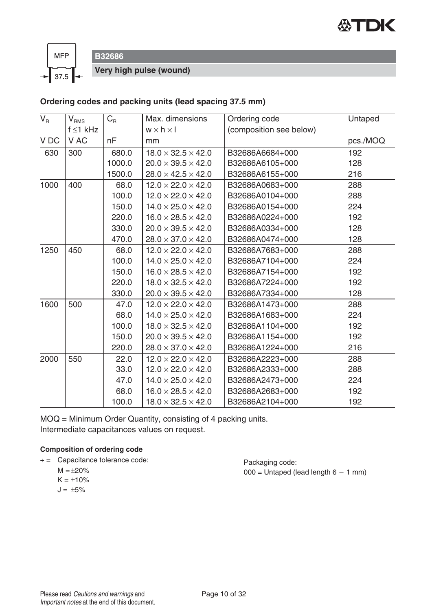



**B32686**

**Very high pulse (wound)**

### **Ordering codes and packing units (lead spacing 37.5 mm)**

| $V_{\rm R}$ | $V_{RMS}$      | $C_{\rm R}$ | Max. dimensions                | Ordering code           | Untaped  |
|-------------|----------------|-------------|--------------------------------|-------------------------|----------|
|             | $f \leq 1$ kHz |             | $w \times h \times l$          | (composition see below) |          |
| V DC        | V AC           | nF          | mm                             |                         | pcs./MOQ |
| 630         | 300            | 680.0       | $18.0 \times 32.5 \times 42.0$ | B32686A6684+000         | 192      |
|             |                | 1000.0      | $20.0 \times 39.5 \times 42.0$ | B32686A6105+000         | 128      |
|             |                | 1500.0      | $28.0 \times 42.5 \times 42.0$ | B32686A6155+000         | 216      |
| 1000        | 400            | 68.0        | $12.0 \times 22.0 \times 42.0$ | B32686A0683+000         | 288      |
|             |                | 100.0       | $12.0 \times 22.0 \times 42.0$ | B32686A0104+000         | 288      |
|             |                | 150.0       | $14.0 \times 25.0 \times 42.0$ | B32686A0154+000         | 224      |
|             |                | 220.0       | $16.0 \times 28.5 \times 42.0$ | B32686A0224+000         | 192      |
|             |                | 330.0       | $20.0 \times 39.5 \times 42.0$ | B32686A0334+000         | 128      |
|             |                | 470.0       | $28.0 \times 37.0 \times 42.0$ | B32686A0474+000         | 128      |
| 1250        | 450            | 68.0        | $12.0 \times 22.0 \times 42.0$ | B32686A7683+000         | 288      |
|             |                | 100.0       | $14.0 \times 25.0 \times 42.0$ | B32686A7104+000         | 224      |
|             |                | 150.0       | $16.0 \times 28.5 \times 42.0$ | B32686A7154+000         | 192      |
|             |                | 220.0       | $18.0 \times 32.5 \times 42.0$ | B32686A7224+000         | 192      |
|             |                | 330.0       | $20.0 \times 39.5 \times 42.0$ | B32686A7334+000         | 128      |
| 1600        | 500            | 47.0        | $12.0 \times 22.0 \times 42.0$ | B32686A1473+000         | 288      |
|             |                | 68.0        | $14.0 \times 25.0 \times 42.0$ | B32686A1683+000         | 224      |
|             |                | 100.0       | $18.0 \times 32.5 \times 42.0$ | B32686A1104+000         | 192      |
|             |                | 150.0       | $20.0 \times 39.5 \times 42.0$ | B32686A1154+000         | 192      |
|             |                | 220.0       | $28.0 \times 37.0 \times 42.0$ | B32686A1224+000         | 216      |
| 2000        | 550            | 22.0        | $12.0 \times 22.0 \times 42.0$ | B32686A2223+000         | 288      |
|             |                | 33.0        | $12.0 \times 22.0 \times 42.0$ | B32686A2333+000         | 288      |
|             |                | 47.0        | $14.0 \times 25.0 \times 42.0$ | B32686A2473+000         | 224      |
|             |                | 68.0        | $16.0 \times 28.5 \times 42.0$ | B32686A2683+000         | 192      |
|             |                | 100.0       | $18.0 \times 32.5 \times 42.0$ | B32686A2104+000         | 192      |

MOQ = Minimum Order Quantity, consisting of 4 packing units. Intermediate capacitances values on request.

#### **Composition of ordering code**

- + = Capacitance tolerance code:
	- $M = \pm 20\%$
	- $K = \pm 10\%$
	- $J = \pm 5\%$

Packaging code:  $000 =$  Untaped (lead length  $6 - 1$  mm)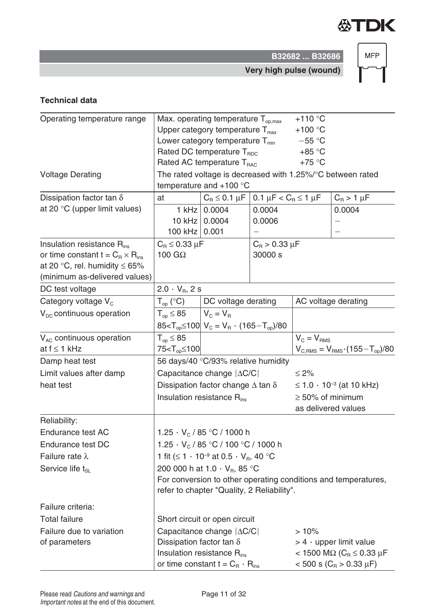

**B32682 ... B32686 Very high pulse (wound)**

**MFP** 

**Technical data**

| Operating temperature range               |                                                            | Max. operating temperature $T_{op,max}$<br>Upper category temperature $T_{\text{max}}$ |                                               | $+110$ °C<br>+100 $\degree$ C        |                                                                |  |  |  |
|-------------------------------------------|------------------------------------------------------------|----------------------------------------------------------------------------------------|-----------------------------------------------|--------------------------------------|----------------------------------------------------------------|--|--|--|
|                                           |                                                            | Lower category temperature $T_{min}$                                                   |                                               | $-55 °C$                             |                                                                |  |  |  |
|                                           |                                                            | Rated DC temperature T <sub>RDC</sub>                                                  |                                               | $+85 °C$                             |                                                                |  |  |  |
|                                           |                                                            | Rated AC temperature T <sub>RAC</sub>                                                  |                                               | $+75$ °C                             |                                                                |  |  |  |
| <b>Voltage Derating</b>                   | The rated voltage is decreased with 1.25%/°C between rated |                                                                                        |                                               |                                      |                                                                |  |  |  |
|                                           |                                                            | temperature and $+100$ °C                                                              |                                               |                                      |                                                                |  |  |  |
| Dissipation factor tan $\delta$           | at                                                         | $C_R \leq 0.1 \mu F$                                                                   | 0.1 $\mu$ F < C <sub>R</sub> $\leq$ 1 $\mu$ F |                                      | $C_R > 1 \mu F$                                                |  |  |  |
| at 20 °C (upper limit values)             | $1$ kHz                                                    | 0.0004                                                                                 | 0.0004                                        |                                      | 0.0004                                                         |  |  |  |
|                                           |                                                            | 10 kHz 0.0004                                                                          | 0.0006                                        |                                      | —                                                              |  |  |  |
|                                           | 100 kHz   0.001                                            |                                                                                        |                                               |                                      | $\overline{\phantom{0}}$                                       |  |  |  |
| Insulation resistance $R_{ins}$           | $C_{\rm B} \leq 0.33 \mu F$                                |                                                                                        | $C_{\rm B}$ > 0.33 $\mu$ F                    |                                      |                                                                |  |  |  |
| or time constant $t = C_R \times R_{ins}$ | 100 $G\Omega$                                              |                                                                                        | 30000 s                                       |                                      |                                                                |  |  |  |
| at 20 °C, rel. humidity $\leq 65\%$       |                                                            |                                                                                        |                                               |                                      |                                                                |  |  |  |
| (minimum as-delivered values)             |                                                            |                                                                                        |                                               |                                      |                                                                |  |  |  |
| DC test voltage                           | $2.0 \cdot V_B$ , 2 s                                      |                                                                                        |                                               |                                      |                                                                |  |  |  |
| Category voltage V <sub>c</sub>           | $T_{op}$ (°C)                                              | DC voltage derating                                                                    |                                               | AC voltage derating                  |                                                                |  |  |  |
| $V_{DC}$ continuous operation             | $T_{op} \leq 85$                                           | $V_{C} = V_{B}$                                                                        |                                               |                                      |                                                                |  |  |  |
|                                           |                                                            | $85 < T_{op} \le 100$ $V_c = V_R \cdot (165 - T_{op})/80$                              |                                               |                                      |                                                                |  |  |  |
| $V_{AC}$ continuous operation             | $T_{op} \leq 85$                                           |                                                                                        |                                               | $V_c = V_{RMS}$                      |                                                                |  |  |  |
| at $f \leq 1$ kHz                         | 75 <t<sub>op≤100</t<sub>                                   |                                                                                        |                                               |                                      | $V_{C,RMS} = V_{RMS} \cdot (155 - T_{op})/80$                  |  |  |  |
| Damp heat test                            |                                                            | 56 days/40 °C/93% relative humidity                                                    |                                               |                                      |                                                                |  |  |  |
| Limit values after damp                   |                                                            | Capacitance change $ \Delta C/C $                                                      |                                               | $\leq 2\%$                           |                                                                |  |  |  |
| heat test                                 |                                                            | Dissipation factor change $\Delta$ tan $\delta$                                        |                                               | $\leq 1.0 \cdot 10^{-3}$ (at 10 kHz) |                                                                |  |  |  |
|                                           |                                                            | Insulation resistance R <sub>ins</sub>                                                 |                                               | $\geq$ 50% of minimum                |                                                                |  |  |  |
|                                           |                                                            |                                                                                        |                                               |                                      | as delivered values                                            |  |  |  |
| Reliability:                              |                                                            |                                                                                        |                                               |                                      |                                                                |  |  |  |
| Endurance test AC                         |                                                            | 1.25 $\cdot$ V <sub>c</sub> / 85 $\degree$ C / 1000 h                                  |                                               |                                      |                                                                |  |  |  |
| Endurance test DC                         |                                                            | 1.25 $\cdot$ V <sub>c</sub> / 85 °C / 100 °C / 1000 h                                  |                                               |                                      |                                                                |  |  |  |
| Failure rate $\lambda$                    |                                                            | 1 fit ( $\leq 1 \cdot 10^{-9}$ at 0.5 $\cdot$ V <sub>B</sub> , 40 °C                   |                                               |                                      |                                                                |  |  |  |
| Service life t <sub>si</sub>              |                                                            | 200 000 h at 1.0 $\cdot$ V <sub>B</sub> , 85 °C                                        |                                               |                                      |                                                                |  |  |  |
|                                           |                                                            |                                                                                        |                                               |                                      | For conversion to other operating conditions and temperatures, |  |  |  |
|                                           |                                                            | refer to chapter "Quality, 2 Reliability".                                             |                                               |                                      |                                                                |  |  |  |
| Failure criteria:                         |                                                            |                                                                                        |                                               |                                      |                                                                |  |  |  |
| <b>Total failure</b>                      |                                                            | Short circuit or open circuit                                                          |                                               |                                      |                                                                |  |  |  |
| Failure due to variation                  |                                                            | Capacitance change $ \Delta C/C $                                                      |                                               | $>10\%$                              |                                                                |  |  |  |
| of parameters                             | Dissipation factor tan $\delta$                            |                                                                                        |                                               | $> 4 \cdot$ upper limit value        |                                                                |  |  |  |
|                                           |                                                            | Insulation resistance $R_{ins}$                                                        |                                               |                                      | < 1500 ΜΩ (C <sub>R</sub> ≤ 0.33 μF                            |  |  |  |
|                                           |                                                            | or time constant $t = C_R \cdot R_{ins}$                                               | $<$ 500 s (C <sub>R</sub> > 0.33 µF)          |                                      |                                                                |  |  |  |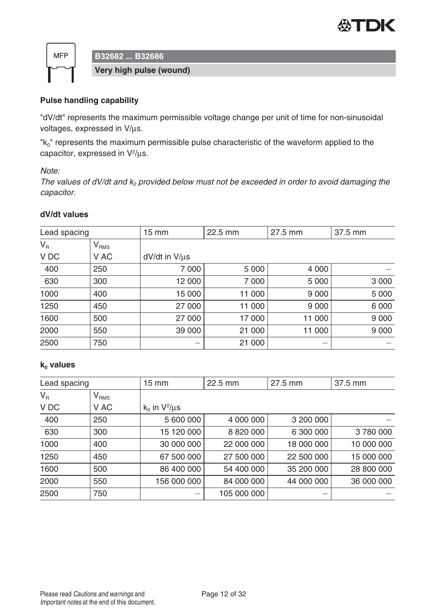



**B32682 ... B32686**

**Very high pulse (wound)**

### **Pulse handling capability**

"dV/dt" represents the maximum permissible voltage change per unit of time for non-sinusoidal voltages, expressed in V/μs.

"k<sub>0</sub>" represents the maximum permissible pulse characteristic of the waveform applied to the capacitor, expressed in V2/μs.

Note:

The values of dV/dt and  $k_0$  provided below must not be exceeded in order to avoid damaging the capacitor.

#### **dV/dt values**

| Lead spacing |                             | $15 \, \text{mm}$    | 22.5 mm | 27.5 mm | 37.5 mm |  |
|--------------|-----------------------------|----------------------|---------|---------|---------|--|
| $V_R$        | $\mathsf{V}_{\mathsf{RMS}}$ |                      |         |         |         |  |
| V DC         | V AC                        | $dV/dt$ in $V/\mu s$ |         |         |         |  |
| 400          | 250                         | 7 0 0 0              | 5 0 0 0 | 4 0 0 0 |         |  |
| 630          | 300                         | 12 000               | 7 0 0 0 | 5 0 0 0 | 3 0 0 0 |  |
| 1000         | 400                         | 15 000               | 11 000  | 9 0 0 0 | 5 0 0 0 |  |
| 1250         | 450                         | 27 000               | 11 000  | 9 0 0 0 | 6 0 0 0 |  |
| 1600         | 500                         | 27 000               | 17 000  | 11 000  | 9 0 0 0 |  |
| 2000         | 550                         | 39 000               | 21 000  | 11 000  | 9 0 0 0 |  |
| 2500         | 750                         |                      | 21 000  |         |         |  |

#### **k**<sub>0</sub> **values**

| Lead spacing |                             | $15 \, \text{mm}$    | 22.5 mm     | 27.5 mm    | 37.5 mm    |
|--------------|-----------------------------|----------------------|-------------|------------|------------|
| $V_{R}$      | $\mathsf{V}_{\mathsf{RMS}}$ |                      |             |            |            |
| V DC         | V AC                        | $k_0$ in $V^2/\mu s$ |             |            |            |
| 400          | 250                         | 5 600 000            | 4 000 000   | 3 200 000  |            |
| 630          | 300                         | 15 120 000           | 8 820 000   | 6 300 000  | 3780000    |
| 1000         | 400                         | 30 000 000           | 22 000 000  | 18 000 000 | 10 000 000 |
| 1250         | 450                         | 67 500 000           | 27 500 000  | 22 500 000 | 15 000 000 |
| 1600         | 500                         | 86 400 000           | 54 400 000  | 35 200 000 | 28 800 000 |
| 2000         | 550                         | 156 000 000          | 84 000 000  | 44 000 000 | 36 000 000 |
| 2500         | 750                         |                      | 105 000 000 | —          |            |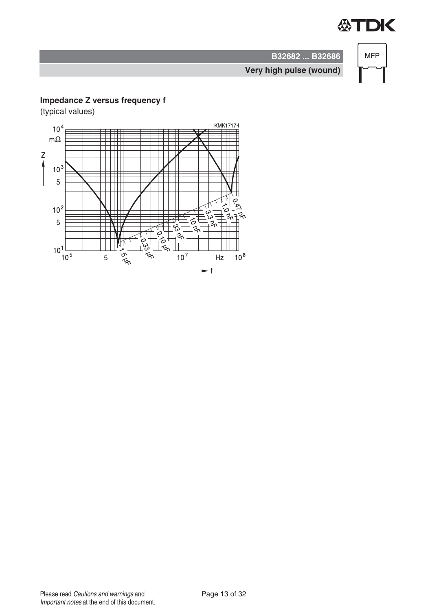

**MFP** 

**Very high pulse (wound)**

**B32682 ... B32686**

# **Impedance Z versus frequency f**

(typical values)

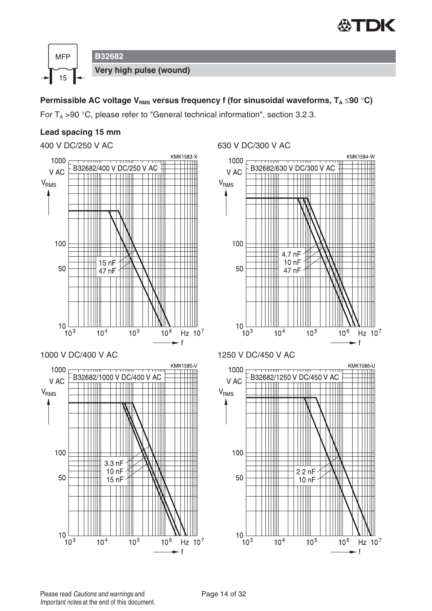



For  $T_A > 90$  °C, please refer to "General technical information", section 3.2.3.

### **Lead spacing 15 mm**

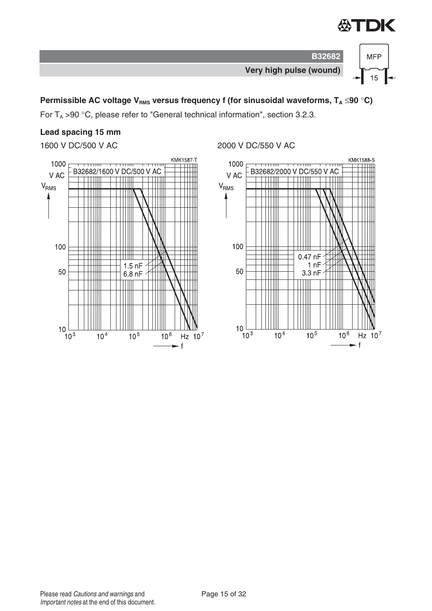



For  $T_A > 90$  °C, please refer to "General technical information", section 3.2.3.

# **Lead spacing 15 mm**



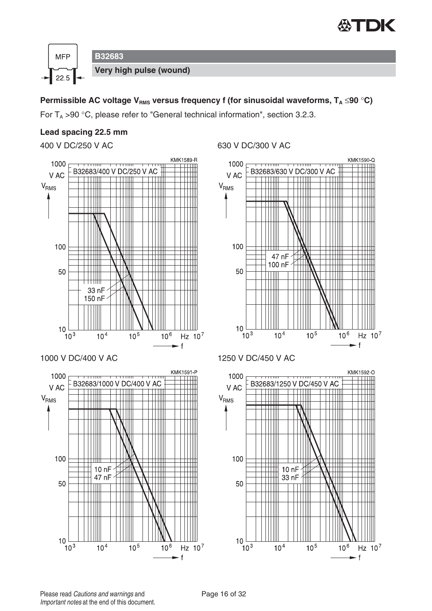

Hz  $10^7$ 

Hz  $10^7$ 

- f

 $\mathsf{f}$ 



### **Permissible AC voltage V<sub>RMS</sub> versus frequency f (for sinusoidal waveforms, T<sub>A</sub> ≤90 °C)**

For  $T_A > 90$  °C, please refer to "General technical information", section 3.2.3.

#### **Lead spacing 22.5 mm**



 $\mathbf f$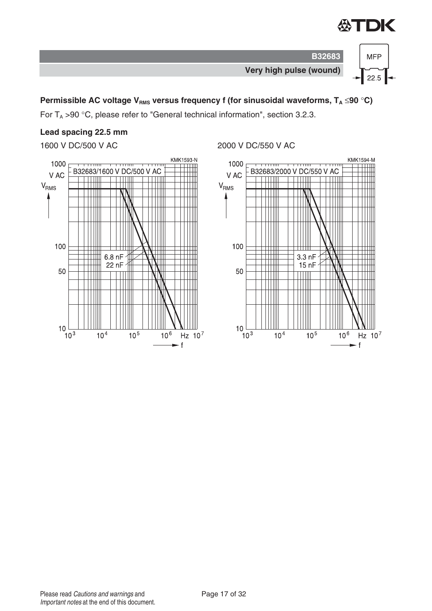



For  $T_A > 90$  °C, please refer to "General technical information", section 3.2.3.

# **Lead spacing 22.5 mm**



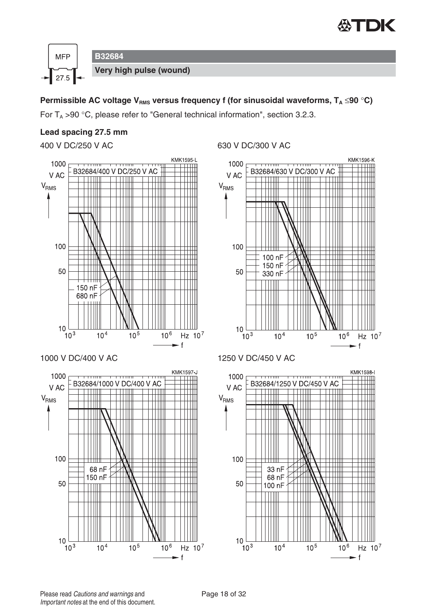![](_page_17_Picture_0.jpeg)

![](_page_17_Figure_1.jpeg)

For  $T_A > 90$  °C, please refer to "General technical information", section 3.2.3.

#### **Lead spacing 27.5 mm**

![](_page_17_Figure_5.jpeg)

![](_page_17_Figure_7.jpeg)

![](_page_17_Figure_9.jpeg)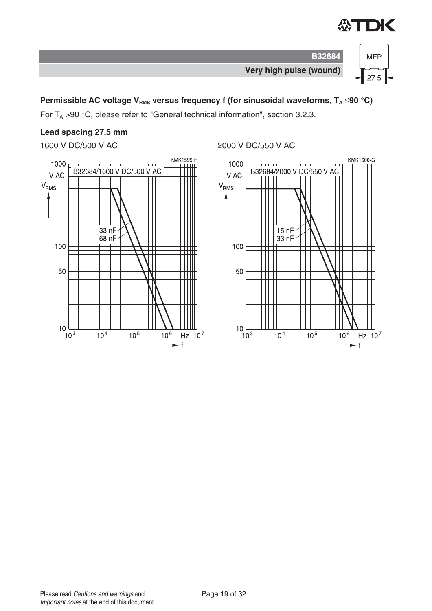![](_page_18_Picture_0.jpeg)

![](_page_18_Figure_1.jpeg)

For  $T_A > 90$  °C, please refer to "General technical information", section 3.2.3.

# **Lead spacing 27.5 mm**

![](_page_18_Figure_5.jpeg)

![](_page_18_Figure_6.jpeg)

![](_page_18_Figure_8.jpeg)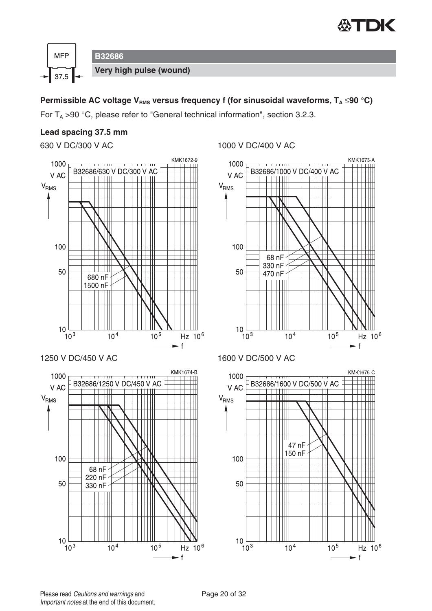![](_page_19_Picture_0.jpeg)

![](_page_19_Figure_1.jpeg)

For  $T_A > 90$  °C, please refer to "General technical information", section 3.2.3.

#### **Lead spacing 37.5 mm**

![](_page_19_Figure_5.jpeg)

![](_page_19_Figure_6.jpeg)

![](_page_19_Figure_8.jpeg)

![](_page_19_Figure_10.jpeg)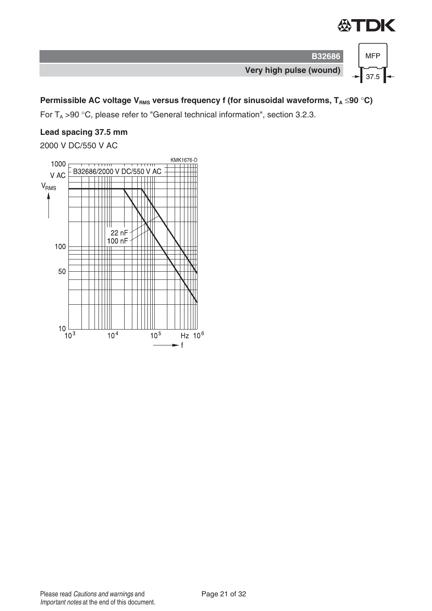![](_page_20_Picture_0.jpeg)

![](_page_20_Figure_1.jpeg)

For  $T_A > 90$  °C, please refer to "General technical information", section 3.2.3.

# **Lead spacing 37.5 mm**

2000 V DC/550 V AC

![](_page_20_Figure_6.jpeg)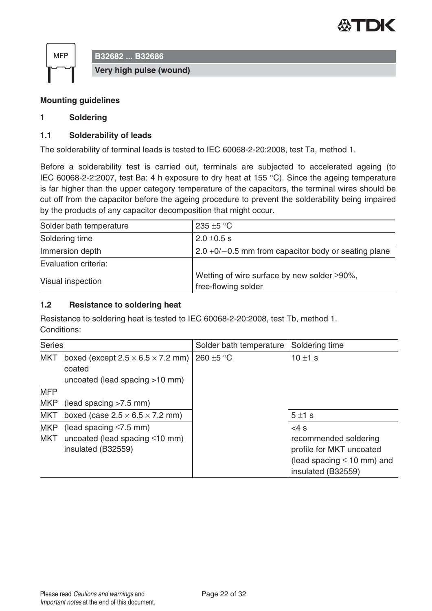![](_page_21_Picture_0.jpeg)

![](_page_21_Figure_1.jpeg)

#### **Mounting guidelines**

#### **1 Soldering**

#### **1.1 Solderability of leads**

The solderability of terminal leads is tested to IEC 60068-2-20:2008, test Ta, method 1.

Before a solderability test is carried out, terminals are subjected to accelerated ageing (to IEC 60068-2-2:2007, test Ba: 4 h exposure to dry heat at 155 °C). Since the ageing temperature is far higher than the upper category temperature of the capacitors, the terminal wires should be cut off from the capacitor before the ageing procedure to prevent the solderability being impaired by the products of any capacitor decomposition that might occur.

| Solder bath temperature | 235 $\pm$ 5 °C                                                             |
|-------------------------|----------------------------------------------------------------------------|
| Soldering time          | $2.0 \pm 0.5$ s                                                            |
| Immersion depth         | $2.0 + 0/- 0.5$ mm from capacitor body or seating plane                    |
| Evaluation criteria:    |                                                                            |
| Visual inspection       | Wetting of wire surface by new solder $\geq 90\%$ ,<br>free-flowing solder |

#### **1.2 Resistance to soldering heat**

Resistance to soldering heat is tested to IEC 60068-2-20:2008, test Tb, method 1. Conditions:

| <b>Series</b>            |                                                                                            | Solder bath temperature | Soldering time                                                                                                       |
|--------------------------|--------------------------------------------------------------------------------------------|-------------------------|----------------------------------------------------------------------------------------------------------------------|
| <b>MKT</b>               | boxed (except $2.5 \times 6.5 \times 7.2$ mm)<br>coated<br>uncoated (lead spacing >10 mm)  | 260 ±5 °C               | 10 $\pm$ 1 s                                                                                                         |
| <b>MFP</b>               |                                                                                            |                         |                                                                                                                      |
| <b>MKP</b>               | (lead spacing > 7.5 mm)                                                                    |                         |                                                                                                                      |
| <b>MKT</b>               | boxed (case $2.5 \times 6.5 \times 7.2$ mm)                                                |                         | 5±1s                                                                                                                 |
| <b>MKP</b><br><b>MKT</b> | (lead spacing $\leq 7.5$ mm)<br>uncoated (lead spacing $\leq 10$ mm)<br>insulated (B32559) |                         | $<4$ s<br>recommended soldering<br>profile for MKT uncoated<br>(lead spacing $\leq 10$ mm) and<br>insulated (B32559) |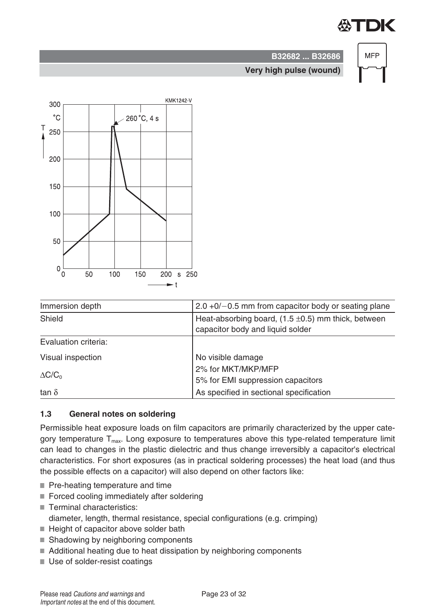# TDK

![](_page_22_Figure_1.jpeg)

# **B32682 ... B32686 Very high pulse (wound)**

![](_page_22_Figure_3.jpeg)

| Immersion depth      | $2.0 + 0/- 0.5$ mm from capacitor body or seating plane                                     |  |
|----------------------|---------------------------------------------------------------------------------------------|--|
| Shield               | Heat-absorbing board, $(1.5 \pm 0.5)$ mm thick, between<br>capacitor body and liquid solder |  |
| Evaluation criteria: |                                                                                             |  |
| Visual inspection    | No visible damage                                                                           |  |
| $\Delta C/C_0$       | 2% for MKT/MKP/MFP<br>5% for EMI suppression capacitors                                     |  |
| tan $\delta$         | As specified in sectional specification                                                     |  |

## **1.3 General notes on soldering**

Permissible heat exposure loads on film capacitors are primarily characterized by the upper category temperature  $T_{\text{max}}$ . Long exposure to temperatures above this type-related temperature limit can lead to changes in the plastic dielectric and thus change irreversibly a capacitor's electrical characteristics. For short exposures (as in practical soldering processes) the heat load (and thus the possible effects on a capacitor) will also depend on other factors like:

- Pre-heating temperature and time
- Forced cooling immediately after soldering
- Terminal characteristics: diameter, length, thermal resistance, special configurations (e.g. crimping)
- $\blacksquare$  Height of capacitor above solder bath
- Shadowing by neighboring components
- Additional heating due to heat dissipation by neighboring components
- Use of solder-resist coatings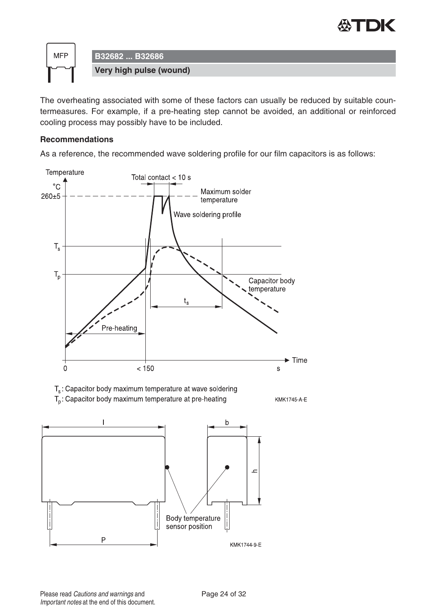![](_page_23_Picture_0.jpeg)

![](_page_23_Figure_1.jpeg)

The overheating associated with some of these factors can usually be reduced by suitable countermeasures. For example, if a pre-heating step cannot be avoided, an additional or reinforced cooling process may possibly have to be included.

#### **Recommendations**

As a reference, the recommended wave soldering profile for our film capacitors is as follows:

![](_page_23_Figure_5.jpeg)

 $\overline{P}$ 

KMK1744-9-E

sensor position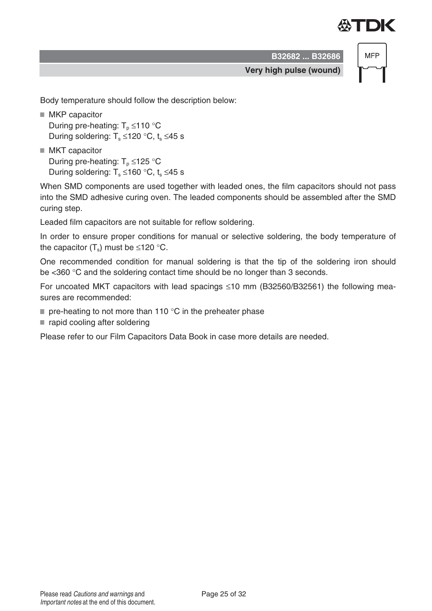![](_page_24_Picture_0.jpeg)

**B32682 ... B32686**

**MFP** 

**Very high pulse (wound)**

Body temperature should follow the description below:

- MKP capacitor During pre-heating:  $T_p \le 110$  °C During soldering:  $T_s \le 120$  °C, t<sub>s</sub>  $\le 45$  s
- MKT capacitor During pre-heating:  $T_p \le 125$  °C During soldering:  $T_s \le 160$  °C,  $t_s \le 45$  s

When SMD components are used together with leaded ones, the film capacitors should not pass into the SMD adhesive curing oven. The leaded components should be assembled after the SMD curing step.

Leaded film capacitors are not suitable for reflow soldering.

In order to ensure proper conditions for manual or selective soldering, the body temperature of the capacitor  $(T_s)$  must be ≤120 °C.

One recommended condition for manual soldering is that the tip of the soldering iron should be <360 °C and the soldering contact time should be no longer than 3 seconds.

For uncoated MKT capacitors with lead spacings  $\leq$ 10 mm (B32560/B32561) the following measures are recommended:

- $\blacksquare$  pre-heating to not more than 110 °C in the preheater phase
- rapid cooling after soldering

Please refer to our Film Capacitors Data Book in case more details are needed.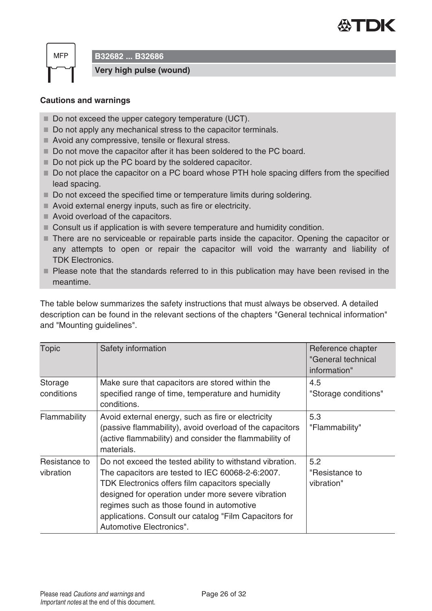![](_page_25_Picture_0.jpeg)

**MFP** 

**B32682 ... B32686**

**Very high pulse (wound)**

#### **Cautions and warnings**

- Do not exceed the upper category temperature (UCT).
- Do not apply any mechanical stress to the capacitor terminals.
- Avoid any compressive, tensile or flexural stress.
- Do not move the capacitor after it has been soldered to the PC board.
- Do not pick up the PC board by the soldered capacitor.
- Do not place the capacitor on a PC board whose PTH hole spacing differs from the specified lead spacing.
- Do not exceed the specified time or temperature limits during soldering.
- Avoid external energy inputs, such as fire or electricity.
- Avoid overload of the capacitors.
- Consult us if application is with severe temperature and humidity condition.
- There are no serviceable or repairable parts inside the capacitor. Opening the capacitor or any attempts to open or repair the capacitor will void the warranty and liability of TDK Electronics.
- **Please note that the standards referred to in this publication may have been revised in the** meantime.

The table below summarizes the safety instructions that must always be observed. A detailed description can be found in the relevant sections of the chapters "General technical information" and "Mounting guidelines".

| <b>Topic</b>               | Safety information                                                                                                                                                                                                                                                                                                                                        | Reference chapter<br>"General technical<br>information" |
|----------------------------|-----------------------------------------------------------------------------------------------------------------------------------------------------------------------------------------------------------------------------------------------------------------------------------------------------------------------------------------------------------|---------------------------------------------------------|
| Storage<br>conditions      | Make sure that capacitors are stored within the<br>specified range of time, temperature and humidity<br>conditions.                                                                                                                                                                                                                                       | 4.5<br>"Storage conditions"                             |
| Flammability               | Avoid external energy, such as fire or electricity<br>(passive flammability), avoid overload of the capacitors<br>(active flammability) and consider the flammability of<br>materials.                                                                                                                                                                    | 5.3<br>"Flammability"                                   |
| Resistance to<br>vibration | Do not exceed the tested ability to withstand vibration.<br>The capacitors are tested to IEC 60068-2-6:2007.<br>TDK Electronics offers film capacitors specially<br>designed for operation under more severe vibration<br>regimes such as those found in automotive<br>applications. Consult our catalog "Film Capacitors for<br>Automotive Electronics". | 5.2<br>"Resistance to<br>vibration"                     |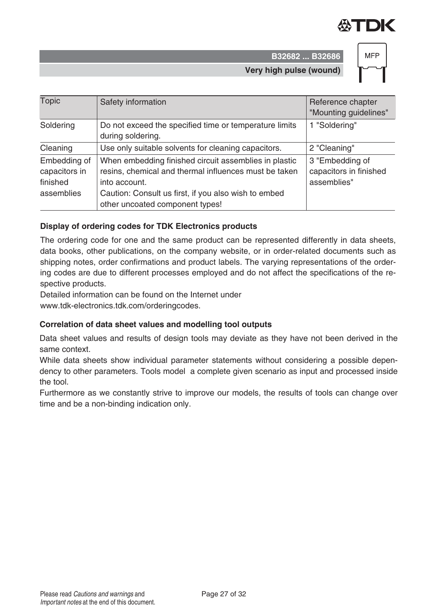![](_page_26_Picture_0.jpeg)

**B32682 ... B32686 Very high pulse (wound)**

![](_page_26_Figure_2.jpeg)

| <b>Topic</b>                                            | Safety information                                                                                                                                                                                                         | Reference chapter<br>"Mounting guidelines"               |
|---------------------------------------------------------|----------------------------------------------------------------------------------------------------------------------------------------------------------------------------------------------------------------------------|----------------------------------------------------------|
| Soldering                                               | Do not exceed the specified time or temperature limits<br>during soldering.                                                                                                                                                | 1 "Soldering"                                            |
| Cleaning                                                | Use only suitable solvents for cleaning capacitors.                                                                                                                                                                        | 2 "Cleaning"                                             |
| Embedding of<br>capacitors in<br>finished<br>assemblies | When embedding finished circuit assemblies in plastic<br>resins, chemical and thermal influences must be taken<br>into account.<br>Caution: Consult us first, if you also wish to embed<br>other uncoated component types! | 3 "Embedding of<br>capacitors in finished<br>assemblies" |

#### **Display of ordering codes for TDK Electronics products**

The ordering code for one and the same product can be represented differently in data sheets, data books, other publications, on the company website, or in order-related documents such as shipping notes, order confirmations and product labels. The varying representations of the ordering codes are due to different processes employed and do not affect the specifications of the respective products.

Detailed information can be found on the Internet under

www.tdk-electronics.tdk.com/orderingcodes.

#### Correlation of data sheet values and modelling tool outputs

Data sheet values and results of design tools may deviate as they have not been derived in the same context.

While data sheets show individual parameter statements without considering a possible dependency to other parameters. Tools model a complete given scenario as input and processed inside the tool.

Furthermore as we constantly strive to improve our models, the results of tools can change over time and be a non-binding indication only.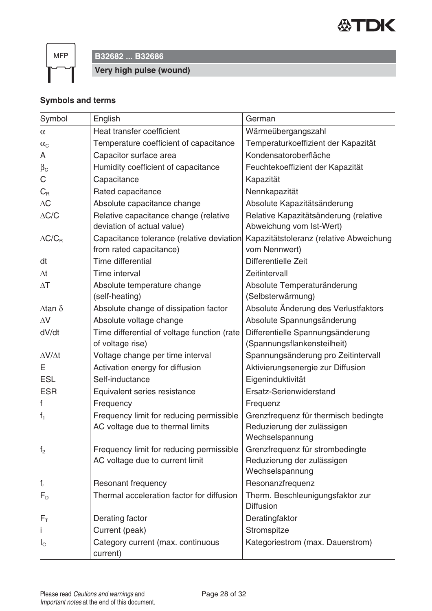![](_page_27_Picture_0.jpeg)

 $MFP$ 

# **B32682 ... B32686**

**Very high pulse (wound)**

# **Symbols and terms**

| Symbol                | English                                       | German                                  |  |
|-----------------------|-----------------------------------------------|-----------------------------------------|--|
| $\alpha$              | Heat transfer coefficient                     | Wärmeübergangszahl                      |  |
| $\alpha_{\text{C}}$   | Temperature coefficient of capacitance        | Temperaturkoeffizient der Kapazität     |  |
| A                     | Capacitor surface area                        | Kondensatoroberfläche                   |  |
| $\beta_{\rm C}$       | Humidity coefficient of capacitance           | Feuchtekoeffizient der Kapazität        |  |
| С                     | Capacitance                                   | Kapazität                               |  |
| $C_R$                 | Rated capacitance                             | Nennkapazität                           |  |
| $\Delta C$            | Absolute capacitance change                   | Absolute Kapazitätsänderung             |  |
| $\Delta{\rm C/C}$     | Relative capacitance change (relative         | Relative Kapazitätsänderung (relative   |  |
|                       | deviation of actual value)                    | Abweichung vom Ist-Wert)                |  |
| $\Delta C/C_R$        | Capacitance tolerance (relative deviation     | Kapazitätstoleranz (relative Abweichung |  |
|                       | from rated capacitance)                       | vom Nennwert)                           |  |
| dt                    | Time differential                             | Differentielle Zeit                     |  |
| $\Delta t$            | Time interval                                 | Zeitintervall                           |  |
| $\Delta T$            | Absolute temperature change                   | Absolute Temperaturänderung             |  |
|                       | (self-heating)                                | (Selbsterwärmung)                       |  |
| $\Delta$ tan $\delta$ | Absolute change of dissipation factor         | Absolute Änderung des Verlustfaktors    |  |
| $\Delta V$            | Absolute voltage change                       | Absolute Spannungsänderung              |  |
| dV/dt                 | Time differential of voltage function (rate   | Differentielle Spannungsänderung        |  |
|                       | of voltage rise)                              | (Spannungsflankensteilheit)             |  |
| $\Delta V/\Delta t$   | Voltage change per time interval              | Spannungsänderung pro Zeitintervall     |  |
| Е                     | Activation energy for diffusion               | Aktivierungsenergie zur Diffusion       |  |
| <b>ESL</b>            | Self-inductance                               | Eigeninduktivität                       |  |
| <b>ESR</b>            | Equivalent series resistance                  | Ersatz-Serienwiderstand                 |  |
| f                     | Frequency                                     | Frequenz                                |  |
| $f_1$                 | Frequency limit for reducing permissible      | Grenzfrequenz für thermisch bedingte    |  |
|                       | AC voltage due to thermal limits              | Reduzierung der zulässigen              |  |
|                       |                                               | Wechselspannung                         |  |
| f <sub>2</sub>        | Frequency limit for reducing permissible      | Grenzfrequenz für strombedingte         |  |
|                       | AC voltage due to current limit               | Reduzierung der zulässigen              |  |
|                       |                                               | Wechselspannung                         |  |
| $f_r$                 | <b>Resonant frequency</b>                     | Resonanzfrequenz                        |  |
| $F_{D}$               | Thermal acceleration factor for diffusion     | Therm. Beschleunigungsfaktor zur        |  |
|                       |                                               | <b>Diffusion</b>                        |  |
| $F_{\rm T}$           | Derating factor                               | Deratingfaktor                          |  |
|                       | Current (peak)                                | Stromspitze                             |  |
| $I_{\rm C}$           | Category current (max. continuous<br>current) | Kategoriestrom (max. Dauerstrom)        |  |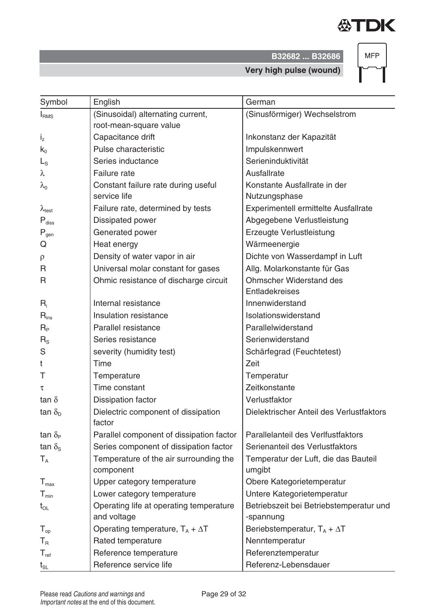![](_page_28_Picture_0.jpeg)

**B32682 ... B32686**

**MFP** 

**Very high pulse (wound)**

| I <sub>RMS</sub>        | (Sinusoidal) alternating current,             | (Sinusförmiger) Wechselstrom             |
|-------------------------|-----------------------------------------------|------------------------------------------|
|                         | root-mean-square value                        |                                          |
| $i_z$                   | Capacitance drift                             | Inkonstanz der Kapazität                 |
| $k_0$                   | Pulse characteristic                          | Impulskennwert                           |
| $L_{\rm S}$             | Series inductance                             | Serieninduktivität                       |
| λ                       | <b>Failure</b> rate                           | Ausfallrate                              |
| $\lambda_{0}$           | Constant failure rate during useful           | Konstante Ausfallrate in der             |
|                         | service life                                  | Nutzungsphase                            |
| $\lambda_{\text{test}}$ | Failure rate, determined by tests             | Experimentell ermittelte Ausfallrate     |
| $P_{\text{diss}}$       | Dissipated power                              | Abgegebene Verlustleistung               |
| $P_{gen}$               | Generated power                               | Erzeugte Verlustleistung                 |
| Q                       | Heat energy                                   | Wärmeenergie                             |
| ρ                       | Density of water vapor in air                 | Dichte von Wasserdampf in Luft           |
| R                       | Universal molar constant for gases            | Allg. Molarkonstante für Gas             |
| R                       | Ohmic resistance of discharge circuit         | <b>Ohmscher Widerstand des</b>           |
|                         |                                               | Entladekreises                           |
| $R_i$                   | Internal resistance                           | Innenwiderstand                          |
| $R_{ins}$               | Insulation resistance                         | Isolationswiderstand                     |
| $R_{P}$                 | Parallel resistance                           | Parallelwiderstand                       |
| $R_{\rm S}$             | Series resistance                             | Serienwiderstand                         |
| S                       | severity (humidity test)                      | Schärfegrad (Feuchtetest)                |
| t                       | Time                                          | Zeit                                     |
| Τ                       | Temperature                                   | Temperatur                               |
| τ                       | Time constant                                 | Zeitkonstante                            |
| tan $\delta$            | <b>Dissipation factor</b>                     | Verlustfaktor                            |
| tan $\delta_{\rm D}$    | Dielectric component of dissipation<br>factor | Dielektrischer Anteil des Verlustfaktors |
| tan $\delta_{\rm P}$    | Parallel component of dissipation factor      | Parallelanteil des Verlfustfaktors       |
| tan $\delta_{\rm s}$    | Series component of dissipation factor        | Serienanteil des Verlustfaktors          |
| $T_A$                   | Temperature of the air surrounding the        | Temperatur der Luft, die das Bauteil     |

Symbol English German

component

and voltage

 $t_{OL}$  Operating life at operating temperature

 $T_{\text{max}}$  Upper category temperature  $\vert$  Obere Kategorietemperatur  $T_{min}$  Lower category temperature  $|$  Untere Kategorietemperatur

 $T_{\text{op}}$  Operating temperature,  $T_A + \Delta T$  Beriebstemperatur,  $T_A + \Delta T$ 

 $T_R$  Rated temperature Research  $R$  Nenntemperatur  $T_{ref}$  Reference temperature Referenztemperature  $t_{SL}$  Reference service life Referenz-Lebensdauer

umgibt

-spannung

Betriebszeit bei Betriebstemperatur und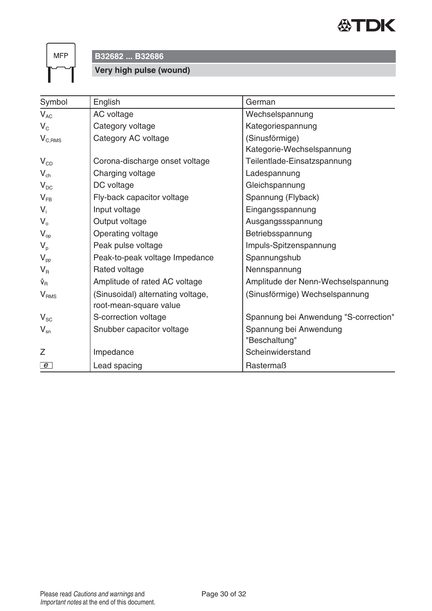![](_page_29_Picture_0.jpeg)

 $MFP$ 

**B32682 ... B32686**

# **Very high pulse (wound)**

| Symbol                          | English                           | German                                |
|---------------------------------|-----------------------------------|---------------------------------------|
| $V_{AC}$                        | AC voltage                        | Wechselspannung                       |
| $V_{C}$                         | Category voltage                  | Kategoriespannung                     |
| $V_{C,RMS}$                     | Category AC voltage               | (Sinusförmige)                        |
|                                 |                                   | Kategorie-Wechselspannung             |
| $V_{CD}$                        | Corona-discharge onset voltage    | Teilentlade-Einsatzspannung           |
| $V_{ch}$                        | Charging voltage                  | Ladespannung                          |
| $V_{DC}$                        | DC voltage                        | Gleichspannung                        |
| $V_{FB}$                        | Fly-back capacitor voltage        | Spannung (Flyback)                    |
| $V_i$                           | Input voltage                     | Eingangsspannung                      |
| $V_{o}$                         | Output voltage                    | Ausgangssspannung                     |
| $V_{op}$                        | Operating voltage                 | Betriebsspannung                      |
| $V_p$                           | Peak pulse voltage                | Impuls-Spitzenspannung                |
| $V_{\text{pp}}$                 | Peak-to-peak voltage Impedance    | Spannungshub                          |
| $V_{R}$                         | Rated voltage                     | Nennspannung                          |
| $\hat{\mathsf{v}}_{\mathsf{R}}$ | Amplitude of rated AC voltage     | Amplitude der Nenn-Wechselspannung    |
| V <sub>RMS</sub>                | (Sinusoidal) alternating voltage, | (Sinusförmige) Wechselspannung        |
|                                 | root-mean-square value            |                                       |
| $V_{SC}$                        | S-correction voltage              | Spannung bei Anwendung "S-correction" |
| $V_{\rm sn}$                    | Snubber capacitor voltage         | Spannung bei Anwendung                |
|                                 |                                   | "Beschaltung"                         |
| Z                               | Impedance                         | Scheinwiderstand                      |
| $\epsilon$                      | Lead spacing                      | Rastermaß                             |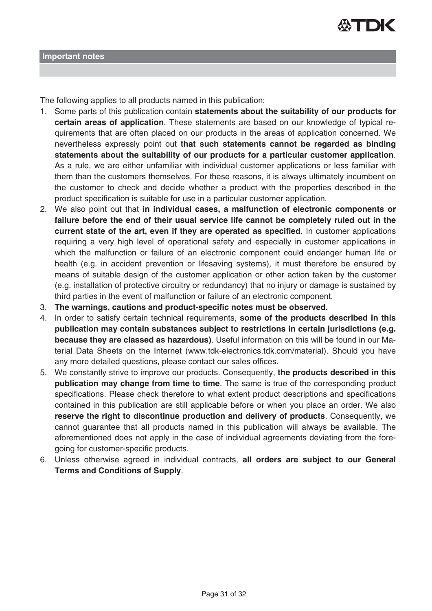![](_page_30_Picture_0.jpeg)

The following applies to all products named in this publication:

- 1. Some parts of this publication contain **statements about the suitability of our products for certain areas of application**. These statements are based on our knowledge of typical requirements that are often placed on our products in the areas of application concerned. We nevertheless expressly point out **that such statements cannot be regarded as binding statements about the suitability of our products for a particular customer application**. As a rule, we are either unfamiliar with individual customer applications or less familiar with them than the customers themselves. For these reasons, it is always ultimately incumbent on the customer to check and decide whether a product with the properties described in the product specification is suitable for use in a particular customer application.
- 2. We also point out that **in individual cases, a malfunction of electronic components or failure before the end of their usual service life cannot be completely ruled out in the current state of the art, even if they are operated as specified**. In customer applications requiring a very high level of operational safety and especially in customer applications in which the malfunction or failure of an electronic component could endanger human life or health (e.g. in accident prevention or lifesaving systems), it must therefore be ensured by means of suitable design of the customer application or other action taken by the customer (e.g. installation of protective circuitry or redundancy) that no injury or damage is sustained by third parties in the event of malfunction or failure of an electronic component.
- 3. **The warnings, cautions and product-specific notes must be observed.**
- 4. In order to satisfy certain technical requirements, **some of the products described in this publication may contain substances subject to restrictions in certain jurisdictions (e.g. because they are classed as hazardous)**. Useful information on this will be found in our Material Data Sheets on the Internet (www.tdk-electronics.tdk.com/material). Should you have any more detailed questions, please contact our sales offices.
- 5. We constantly strive to improve our products. Consequently, **the products described in this publication may change from time to time**. The same is true of the corresponding product specifications. Please check therefore to what extent product descriptions and specifications contained in this publication are still applicable before or when you place an order. We also **reserve the right to discontinue production and delivery of products**. Consequently, we cannot guarantee that all products named in this publication will always be available. The aforementioned does not apply in the case of individual agreements deviating from the foregoing for customer-specific products.
- 6. Unless otherwise agreed in individual contracts, **all orders are subject to our General Terms and Conditions of Supply**.